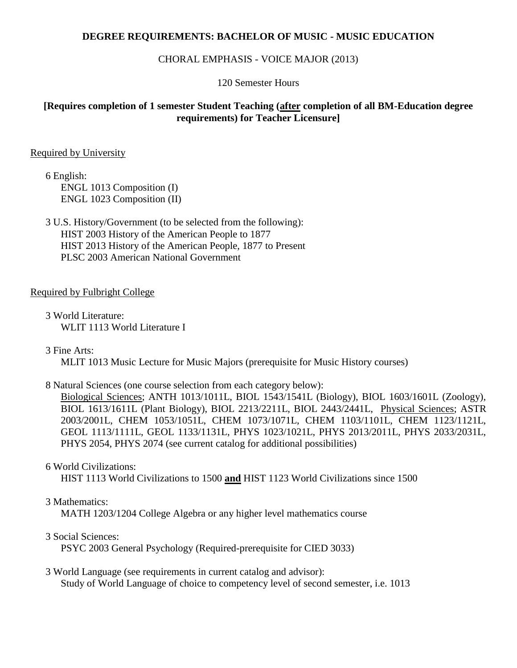### **DEGREE REQUIREMENTS: BACHELOR OF MUSIC - MUSIC EDUCATION**

#### CHORAL EMPHASIS - VOICE MAJOR (2013)

120 Semester Hours

## **[Requires completion of 1 semester Student Teaching (after completion of all BM-Education degree requirements) for Teacher Licensure]**

### Required by University

6 English: ENGL 1013 Composition (I) ENGL 1023 Composition (II)

3 U.S. History/Government (to be selected from the following): HIST 2003 History of the American People to 1877 HIST 2013 History of the American People, 1877 to Present PLSC 2003 American National Government

### Required by Fulbright College

3 World Literature: WLIT 1113 World Literature I

3 Fine Arts:

MLIT 1013 Music Lecture for Music Majors (prerequisite for Music History courses)

## 8 Natural Sciences (one course selection from each category below):

Biological Sciences; ANTH 1013/1011L, BIOL 1543/1541L (Biology), BIOL 1603/1601L (Zoology), BIOL 1613/1611L (Plant Biology), BIOL 2213/2211L, BIOL 2443/2441L, Physical Sciences; ASTR 2003/2001L, CHEM 1053/1051L, CHEM 1073/1071L, CHEM 1103/1101L, CHEM 1123/1121L, GEOL 1113/1111L, GEOL 1133/1131L, PHYS 1023/1021L, PHYS 2013/2011L, PHYS 2033/2031L, PHYS 2054, PHYS 2074 (see current catalog for additional possibilities)

#### 6 World Civilizations:

HIST 1113 World Civilizations to 1500 **and** HIST 1123 World Civilizations since 1500

#### 3 Mathematics:

MATH 1203/1204 College Algebra or any higher level mathematics course

#### 3 Social Sciences:

PSYC 2003 General Psychology (Required-prerequisite for CIED 3033)

#### 3 World Language (see requirements in current catalog and advisor): Study of World Language of choice to competency level of second semester, i.e. 1013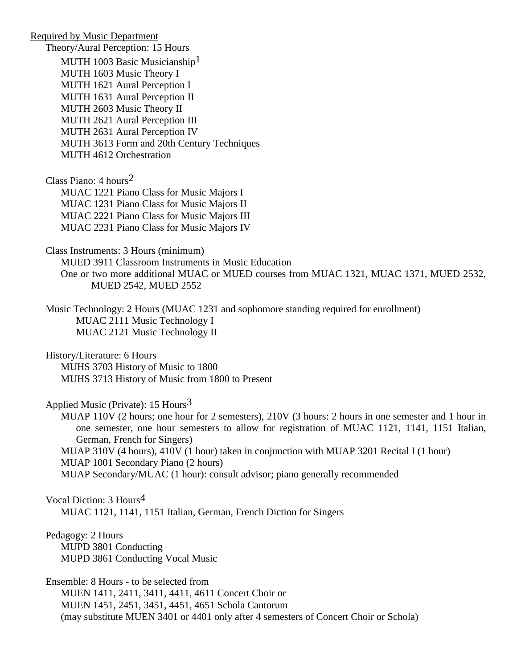Required by Music Department Theory/Aural Perception: 15 Hours MUTH 1003 Basic Musicianship<sup>1</sup> MUTH 1603 Music Theory I MUTH 1621 Aural Perception I MUTH 1631 Aural Perception II MUTH 2603 Music Theory II MUTH 2621 Aural Perception III MUTH 2631 Aural Perception IV MUTH 3613 Form and 20th Century Techniques MUTH 4612 Orchestration Class Piano: 4 hours2 MUAC 1221 Piano Class for Music Majors I MUAC 1231 Piano Class for Music Majors II MUAC 2221 Piano Class for Music Majors III MUAC 2231 Piano Class for Music Majors IV Class Instruments: 3 Hours (minimum) MUED 3911 Classroom Instruments in Music Education One or two more additional MUAC or MUED courses from MUAC 1321, MUAC 1371, MUED 2532, MUED 2542, MUED 2552 Music Technology: 2 Hours (MUAC 1231 and sophomore standing required for enrollment) MUAC 2111 Music Technology I MUAC 2121 Music Technology II History/Literature: 6 Hours MUHS 3703 History of Music to 1800 MUHS 3713 History of Music from 1800 to Present Applied Music (Private):  $15$  Hours<sup>3</sup> MUAP 110V (2 hours; one hour for 2 semesters), 210V (3 hours: 2 hours in one semester and 1 hour in one semester, one hour semesters to allow for registration of MUAC 1121, 1141, 1151 Italian, German, French for Singers) MUAP 310V (4 hours), 410V (1 hour) taken in conjunction with MUAP 3201 Recital I (1 hour) MUAP 1001 Secondary Piano (2 hours) MUAP Secondary/MUAC (1 hour): consult advisor; piano generally recommended Vocal Diction: 3 Hours4 MUAC 1121, 1141, 1151 Italian, German, French Diction for Singers Pedagogy: 2 Hours MUPD 3801 Conducting MUPD 3861 Conducting Vocal Music Ensemble: 8 Hours - to be selected from MUEN 1411, 2411, 3411, 4411, 4611 Concert Choir or MUEN 1451, 2451, 3451, 4451, 4651 Schola Cantorum (may substitute MUEN 3401 or 4401 only after 4 semesters of Concert Choir or Schola)